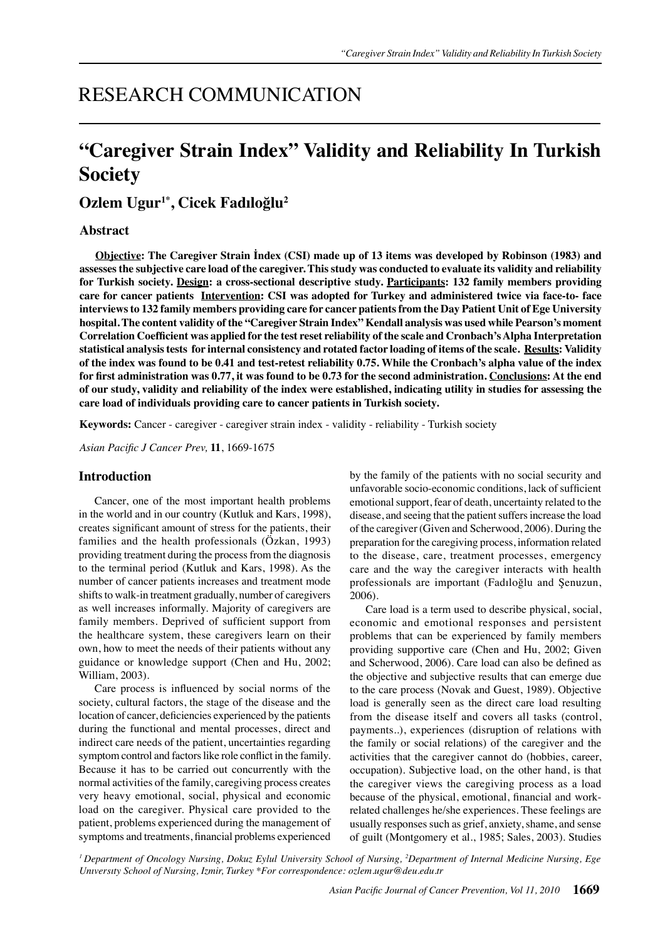## RESEARCH COMMUNICATION

# **"Caregiver Strain Index" Validity and Reliability In Turkish Society**

**Ozlem Ugur1\*, Cicek Fadıloğlu2**

## **Abstract**

**Objective: The Caregiver Strain İndex (CSI) made up of 13 items was developed by Robinson (1983) and assesses the subjective care load of the caregiver. This study was conducted to evaluate its validity and reliability for Turkish society. Design: a cross-sectional descriptive study. Participants: 132 family members providing care for cancer patients Intervention: CSI was adopted for Turkey and administered twice via face-to- face interviews to 132 family members providing care for cancer patients from the Day Patient Unit of Ege University hospital. The content validity of the "Caregiver Strain Index" Kendall analysis was used while Pearson's moment Correlation Coefficient was applied for the test reset reliability of the scale and Cronbach's Alpha Interpretation statistical analysis tests for internal consistency and rotated factor loading of items of the scale. Results: Validity of the index was found to be 0.41 and test-retest reliability 0.75. While the Cronbach's alpha value of the index for first administration was 0.77, it was found to be 0.73 for the second administration. Conclusions: At the end of our study, validity and reliability of the index were established, indicating utility in studies for assessing the care load of individuals providing care to cancer patients in Turkish society.** 

**Keywords:** Cancer - caregiver - caregiver strain index - validity - reliability - Turkish society

*Asian Pacific J Cancer Prev,* **11**, 1669-1675

## **Introduction**

Cancer, one of the most important health problems in the world and in our country (Kutluk and Kars, 1998), creates significant amount of stress for the patients, their families and the health professionals (Özkan, 1993) providing treatment during the process from the diagnosis to the terminal period (Kutluk and Kars, 1998). As the number of cancer patients increases and treatment mode shifts to walk-in treatment gradually, number of caregivers as well increases informally. Majority of caregivers are family members. Deprived of sufficient support from the healthcare system, these caregivers learn on their own, how to meet the needs of their patients without any guidance or knowledge support (Chen and Hu, 2002; William, 2003).

Care process is influenced by social norms of the society, cultural factors, the stage of the disease and the location of cancer, deficiencies experienced by the patients during the functional and mental processes, direct and indirect care needs of the patient, uncertainties regarding symptom control and factors like role conflict in the family. Because it has to be carried out concurrently with the normal activities of the family, caregiving process creates very heavy emotional, social, physical and economic load on the caregiver. Physical care provided to the patient, problems experienced during the management of symptoms and treatments, financial problems experienced

by the family of the patients with no social security and unfavorable socio-economic conditions, lack of sufficient emotional support, fear of death, uncertainty related to the disease, and seeing that the patient suffers increase the load of the caregiver (Given and Scherwood, 2006). During the preparation for the caregiving process, information related to the disease, care, treatment processes, emergency care and the way the caregiver interacts with health professionals are important (Fadıloğlu and Şenuzun, 2006).

Care load is a term used to describe physical, social, economic and emotional responses and persistent problems that can be experienced by family members providing supportive care (Chen and Hu, 2002; Given and Scherwood, 2006). Care load can also be defined as the objective and subjective results that can emerge due to the care process (Novak and Guest, 1989). Objective load is generally seen as the direct care load resulting from the disease itself and covers all tasks (control, payments..), experiences (disruption of relations with the family or social relations) of the caregiver and the activities that the caregiver cannot do (hobbies, career, occupation). Subjective load, on the other hand, is that the caregiver views the caregiving process as a load because of the physical, emotional, financial and workrelated challenges he/she experiences. These feelings are usually responses such as grief, anxiety, shame, and sense of guilt (Montgomery et al., 1985; Sales, 2003). Studies

*1 Department of Oncology Nursing, Dokuz Eylul University School of Nursing, 2 Department of Internal Medicine Nursing, Ege Unıversıty School of Nursing, Izmir, Turkey \*For correspondence: ozlem.ugur@deu.edu.tr*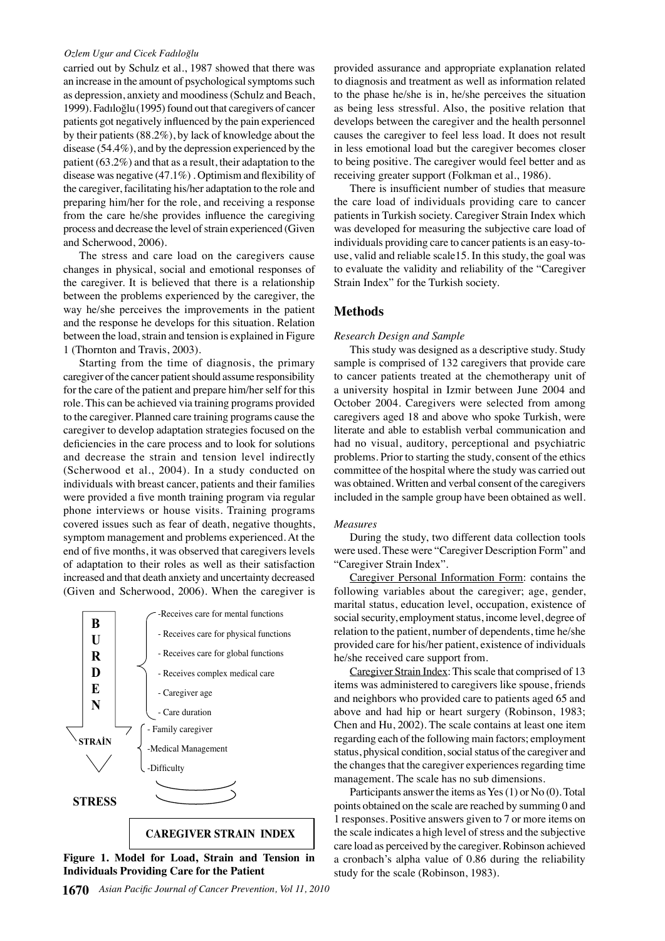#### *Ozlem Ugur and Cicek Fadıloğlu*

carried out by Schulz et al., 1987 showed that there was an increase in the amount of psychological symptoms such as depression, anxiety and moodiness (Schulz and Beach, 1999). Fadıloğlu(1995) found out that caregivers of cancer patients got negatively influenced by the pain experienced by their patients (88.2%), by lack of knowledge about the disease (54.4%), and by the depression experienced by the patient (63.2%) and that as a result, their adaptation to the disease was negative (47.1%) . Optimism and flexibility of the caregiver, facilitating his/her adaptation to the role and preparing him/her for the role, and receiving a response from the care he/she provides influence the caregiving process and decrease the level of strain experienced (Given and Scherwood, 2006).

The stress and care load on the caregivers cause changes in physical, social and emotional responses of the caregiver. It is believed that there is a relationship between the problems experienced by the caregiver, the way he/she perceives the improvements in the patient and the response he develops for this situation. Relation between the load, strain and tension is explained in Figure 1 (Thornton and Travis, 2003).

Starting from the time of diagnosis, the primary caregiver of the cancer patient should assume responsibility for the care of the patient and prepare him/her self for this role. This can be achieved via training programs provided to the caregiver. Planned care training programs cause the caregiver to develop adaptation strategies focused on the deficiencies in the care process and to look for solutions and decrease the strain and tension level indirectly (Scherwood et al., 2004). In a study conducted on individuals with breast cancer, patients and their families were provided a five month training program via regular phone interviews or house visits. Training programs covered issues such as fear of death, negative thoughts, symptom management and problems experienced. At the end of five months, it was observed that caregivers levels of adaptation to their roles as well as their satisfaction increased and that death anxiety and uncertainty decreased (Given and Scherwood, 2006). When the caregiver is



**Figure 1. Model for Load, Strain and Tension in Individuals Providing Care for the Patient**

provided assurance and appropriate explanation related to diagnosis and treatment as well as information related to the phase he/she is in, he/she perceives the situation as being less stressful. Also, the positive relation that develops between the caregiver and the health personnel causes the caregiver to feel less load. It does not result in less emotional load but the caregiver becomes closer to being positive. The caregiver would feel better and as receiving greater support (Folkman et al., 1986).

There is insufficient number of studies that measure the care load of individuals providing care to cancer patients in Turkish society. Caregiver Strain Index which was developed for measuring the subjective care load of individuals providing care to cancer patients is an easy-touse, valid and reliable scale15. In this study, the goal was to evaluate the validity and reliability of the "Caregiver Strain Index" for the Turkish society.

## **Methods**

#### *Research Design and Sample*

This study was designed as a descriptive study. Study sample is comprised of 132 caregivers that provide care to cancer patients treated at the chemotherapy unit of a university hospital in Izmir between June 2004 and October 2004. Caregivers were selected from among caregivers aged 18 and above who spoke Turkish, were literate and able to establish verbal communication and had no visual, auditory, perceptional and psychiatric problems. Prior to starting the study, consent of the ethics committee of the hospital where the study was carried out was obtained. Written and verbal consent of the caregivers included in the sample group have been obtained as well.

#### *Measures*

During the study, two different data collection tools were used. These were "Caregiver Description Form" and "Caregiver Strain Index".

Caregiver Personal Information Form: contains the following variables about the caregiver; age, gender, marital status, education level, occupation, existence of social security, employment status, income level, degree of relation to the patient, number of dependents, time he/she provided care for his/her patient, existence of individuals he/she received care support from.

Caregiver Strain Index: This scale that comprised of 13 items was administered to caregivers like spouse, friends and neighbors who provided care to patients aged 65 and above and had hip or heart surgery (Robinson, 1983; Chen and Hu, 2002). The scale contains at least one item regarding each of the following main factors; employment status, physical condition, social status of the caregiver and the changes that the caregiver experiences regarding time management. The scale has no sub dimensions.

Participants answer the items as Yes (1) or No (0). Total points obtained on the scale are reached by summing 0 and 1 responses. Positive answers given to 7 or more items on the scale indicates a high level of stress and the subjective care load as perceived by the caregiver. Robinson achieved a cronbach's alpha value of 0.86 during the reliability study for the scale (Robinson, 1983).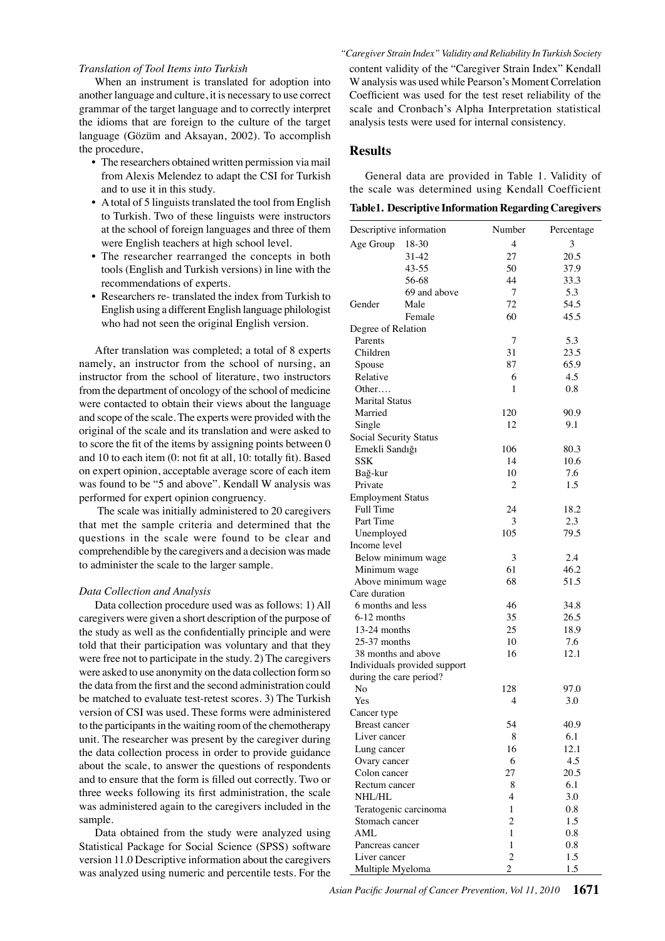#### *Translation of Tool Items into Turkish*

When an instrument is translated for adoption into another language and culture, it is necessary to use correct grammar of the target language and to correctly interpret the idioms that are foreign to the culture of the target language (Gözüm and Aksayan, 2002). To accomplish the procedure,

- The researchers obtained written permission via mail from Alexis Melendez to adapt the CSI for Turkish and to use it in this study.
- A total of 5 linguists translated the tool from English to Turkish. Two of these linguists were instructors at the school of foreign languages and three of them were English teachers at high school level.
- The researcher rearranged the concepts in both tools (English and Turkish versions) in line with the recommendations of experts.
- Researchers re- translated the index from Turkish to English using a different English language philologist who had not seen the original English version.

After translation was completed; a total of 8 experts namely, an instructor from the school of nursing, an instructor from the school of literature, two instructors from the department of oncology of the school of medicine were contacted to obtain their views about the language and scope of the scale. The experts were provided with the original of the scale and its translation and were asked to to score the fit of the items by assigning points between 0 and 10 to each item (0: not fit at all, 10: totally fit). Based on expert opinion, acceptable average score of each item was found to be "5 and above". Kendall W analysis was performed for expert opinion congruency.

 The scale was initially administered to 20 caregivers that met the sample criteria and determined that the questions in the scale were found to be clear and comprehendible by the caregivers and a decision was made to administer the scale to the larger sample.

#### *Data Collection and Analysis*

Data collection procedure used was as follows: 1) All caregivers were given a short description of the purpose of the study as well as the confidentially principle and were told that their participation was voluntary and that they were free not to participate in the study. 2) The caregivers were asked to use anonymity on the data collection form so the data from the first and the second administration could be matched to evaluate test-retest scores. 3) The Turkish version of CSI was used. These forms were administered to the participants in the waiting room of the chemotherapy unit. The researcher was present by the caregiver during the data collection process in order to provide guidance about the scale, to answer the questions of respondents and to ensure that the form is filled out correctly. Two or three weeks following its first administration, the scale was administered again to the caregivers included in the sample.

Data obtained from the study were analyzed using Statistical Package for Social Science (SPSS) software version 11.0 Descriptive information about the caregivers was analyzed using numeric and percentile tests. For the

*"Caregiver Strain Index" Validity and Reliability In Turkish Society* content validity of the "Caregiver Strain Index" Kendall W analysis was used while Pearson's Moment Correlation Coefficient was used for the test reset reliability of the scale and Cronbach's Alpha Interpretation statistical analysis tests were used for internal consistency.

### **Results**

General data are provided in Table 1. Validity of the scale was determined using Kendall Coefficient

**Table1. Descriptive Information Regarding Caregivers**

| Descriptive information      |                              | Number         | Percentage   |       |
|------------------------------|------------------------------|----------------|--------------|-------|
| Age Group                    | 18-30                        | 4              | 3            |       |
|                              | 31-42                        | 27             | 20.5         |       |
|                              | $43 - 55$                    | 50             | 37.9         |       |
|                              | 56-68                        | 44             | 33.3         |       |
|                              | 69 and above                 | 7              | 5.3          |       |
| Gender                       | Male                         | 72             | 54.5         |       |
|                              | Female                       | 60             | 45.5         |       |
| Degree of Relation           |                              |                |              | 100.0 |
| Parents                      |                              | 7              | 5.3          |       |
| Children                     |                              | 31             | 23.5         |       |
| Spouse                       |                              | 87             | 65.9         |       |
| Relative                     |                              | 6              | 4.5          | 75.0  |
| Other                        |                              | 1              | 0.8          |       |
| <b>Marital Status</b>        |                              |                |              |       |
| Married                      |                              | 120            | 90.9         |       |
| Single                       |                              | 12             | 9.1          | 50.0  |
| Social Security Status       |                              | 106            |              |       |
| Emekli Sandığı<br><b>SSK</b> |                              | 14             | 80.3<br>10.6 |       |
|                              |                              | 10             | 7.6          |       |
| Bağ-kur<br>Private           |                              | 2              | 1.5          | 25.0  |
| <b>Employment Status</b>     |                              |                |              |       |
| Full Time                    |                              | 24             | 18.2         |       |
| Part Time                    |                              | 3              | 2.3          |       |
| Unemployed                   |                              | 105            | 79.5         | 0     |
| Income level                 |                              |                |              |       |
|                              | Below minimum wage           | 3              | 2.4          |       |
| Minimum wage                 |                              | 61             | 46.2         |       |
|                              | Above minimum wage           | 68             | 51.5         |       |
| Care duration                |                              |                |              |       |
| 6 months and less            |                              | 46             | 34.8         |       |
| 6-12 months                  |                              | 35             | 26.5         |       |
| 13-24 months                 |                              | 25             | 18.9         |       |
| $25-37$ months               |                              | 10             | 7.6          |       |
| 38 months and above          |                              | 16             | 12.1         |       |
|                              | Individuals provided support |                |              |       |
| during the care period?      |                              |                |              |       |
| No                           |                              | 128            | 97.0         |       |
| Yes                          |                              | 4              | 3.0          |       |
| Cancer type                  |                              |                |              |       |
| <b>Breast cancer</b>         |                              | 54             | 40.9         |       |
| Liver cancer                 |                              | 8              | 6.1          |       |
| Lung cancer                  |                              | 16             | 12.1         |       |
| Ovary cancer                 |                              | 6              | 4.5          |       |
| Colon cancer                 |                              | 27             | 20.5         |       |
| Rectum cancer                |                              | 8              | 6.1          |       |
| NHL/HL                       |                              | 4              | 3.0          |       |
|                              | Teratogenic carcinoma        | 1              | 0.8          |       |
| Stomach cancer               |                              | $\overline{c}$ | 1.5          |       |
| <b>AML</b>                   |                              | 1              | 0.8          |       |
| Pancreas cancer              |                              | 1              | 0.8          |       |
| Liver cancer                 |                              | $\overline{c}$ | 1.5          |       |
| Multiple Myeloma             |                              | 2              | 1.5          |       |

*Asian Pacific Journal of Cancer Prevention, Vol 11, 2010* **1671**

**20.3 6.3 10.1**

**46.8 56.3**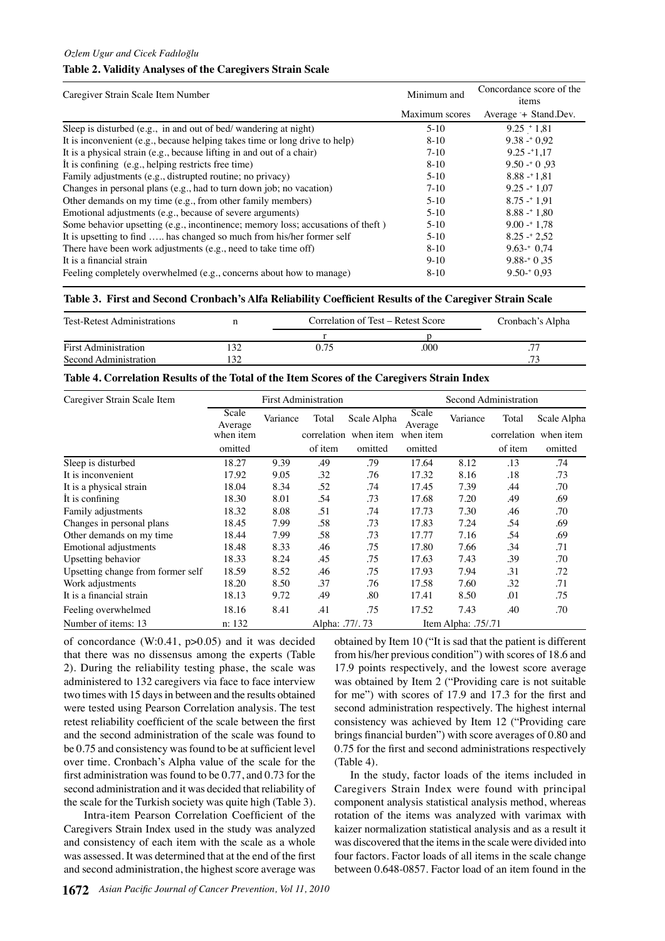## **Table 2. Validity Analyses of the Caregivers Strain Scale**

| Caregiver Strain Scale Item Number                                              | Minimum and    | Concordance score of the<br>items |  |  |
|---------------------------------------------------------------------------------|----------------|-----------------------------------|--|--|
|                                                                                 | Maximum scores | Average + Stand.Dev.              |  |  |
| Sleep is disturbed (e.g., in and out of bed/wandering at night)                 | $5-10$         | $9.25 + 1.81$                     |  |  |
| It is inconvenient (e.g., because helping takes time or long drive to help)     | $8 - 10$       | $9.38 - 0.92$                     |  |  |
| It is a physical strain (e.g., because lifting in and out of a chair)           | $7-10$         | $9.25 - 1.17$                     |  |  |
| It is confining (e.g., helping restricts free time)                             | $8 - 10$       | $9.50 - 0.93$                     |  |  |
| Family adjustments (e.g., distrupted routine; no privacy)                       | $5-10$         | $8.88 - 1.81$                     |  |  |
| Changes in personal plans (e.g., had to turn down job; no vacation)             | $7-10$         | $9.25 - 1.07$                     |  |  |
| Other demands on my time (e.g., from other family members)                      | $5-10$         | $8.75 - 1.91$                     |  |  |
| Emotional adjustments (e.g., because of severe arguments)                       | $5-10$         | $8.88 - 1.80$                     |  |  |
| Some behavior upsetting (e.g., incontinence; memory loss; accusations of theft) | $5-10$         | $9.00 - 1.78$                     |  |  |
| It is upsetting to find  has changed so much from his/her former self           | $5-10$         | $8.25 - 2.52$                     |  |  |
| There have been work adjustments (e.g., need to take time off)                  | $8 - 10$       | $9.63 - 0.74$                     |  |  |
| It is a financial strain                                                        | $9-10$         | $9.88 - 0.35$                     |  |  |
| Feeling completely overwhelmed (e.g., concerns about how to manage)             | $8 - 10$       | $9.50 - 0.93$                     |  |  |

## **Table 3. First and Second Cronbach's Alfa Reliability Coefficient Results of the Caregiver Strain Scale**

| <b>Test-Retest Administrations</b> |                 | Correlation of Test – Retest Score |      | Cronbach's Alpha |
|------------------------------------|-----------------|------------------------------------|------|------------------|
|                                    |                 |                                    |      |                  |
| <b>First Administration</b>        |                 |                                    | .000 |                  |
| Second Administration              | $\overline{32}$ |                                    |      | 73               |

#### **Table 4. Correlation Results of the Total of the Item Scores of the Caregivers Strain Index**

| Caregiver Strain Scale Item       | <b>First Administration</b> |          |                |             | Second Administration |                        |         |                       |
|-----------------------------------|-----------------------------|----------|----------------|-------------|-----------------------|------------------------|---------|-----------------------|
|                                   | Scale<br>Average            | Variance | Total          | Scale Alpha | Scale<br>Average      | Variance               | Total   | Scale Alpha           |
|                                   | when item                   |          | correlation    | when item   | when item             |                        |         | correlation when item |
|                                   | omitted                     |          | of item        | omitted     | omitted               |                        | of item | omitted               |
| Sleep is disturbed                | 18.27                       | 9.39     | .49            | .79         | 17.64                 | 8.12                   | .13     | .74                   |
| It is inconvenient                | 17.92                       | 9.05     | .32            | .76         | 17.32                 | 8.16                   | .18     | .73                   |
| It is a physical strain           | 18.04                       | 8.34     | .52            | .74         | 17.45                 | 7.39                   | .44     | .70                   |
| It is confining                   | 18.30                       | 8.01     | .54            | .73         | 17.68                 | 7.20                   | .49     | .69                   |
| Family adjustments                | 18.32                       | 8.08     | .51            | .74         | 17.73                 | 7.30                   | .46     | .70                   |
| Changes in personal plans         | 18.45                       | 7.99     | .58            | .73         | 17.83                 | 7.24                   | .54     | .69                   |
| Other demands on my time.         | 18.44                       | 7.99     | .58            | .73         | 17.77                 | 7.16                   | .54     | .69                   |
| Emotional adjustments             | 18.48                       | 8.33     | .46            | .75         | 17.80                 | 7.66                   | .34     | .71                   |
| Upsetting behavior                | 18.33                       | 8.24     | .45            | .75         | 17.63                 | 7.43                   | .39     | .70                   |
| Upsetting change from former self | 18.59                       | 8.52     | .46            | .75         | 17.93                 | 7.94                   | .31     | .72                   |
| Work adjustments                  | 18.20                       | 8.50     | .37            | .76         | 17.58                 | 7.60                   | .32     | .71                   |
| It is a financial strain          | 18.13                       | 9.72     | .49            | .80         | 17.41                 | 8.50                   | .01     | .75                   |
| Feeling overwhelmed               | 18.16                       | 8.41     | .41            | .75         | 17.52                 | 7.43                   | .40     | .70                   |
| Number of items: 13               | n: 132                      |          | Alpha: .77/.73 |             |                       | Item Alpha: $.75/0.71$ |         |                       |

of concordance  $(W:0.41, p>0.05)$  and it was decided that there was no dissensus among the experts (Table 2). During the reliability testing phase, the scale was administered to 132 caregivers via face to face interview two times with 15 days in between and the results obtained were tested using Pearson Correlation analysis. The test retest reliability coefficient of the scale between the first and the second administration of the scale was found to be 0.75 and consistency was found to be at sufficient level over time. Cronbach's Alpha value of the scale for the first administration was found to be 0.77, and 0.73 for the second administration and it was decided that reliability of the scale for the Turkish society was quite high (Table 3).

 Intra-item Pearson Correlation Coefficient of the Caregivers Strain Index used in the study was analyzed and consistency of each item with the scale as a whole was assessed. It was determined that at the end of the first and second administration, the highest score average was

**1672** *Asian Pacific Journal of Cancer Prevention, Vol 11, 2010*

obtained by Item 10 ("It is sad that the patient is different from his/her previous condition") with scores of 18.6 and 17.9 points respectively, and the lowest score average was obtained by Item 2 ("Providing care is not suitable for me") with scores of 17.9 and 17.3 for the first and second administration respectively. The highest internal consistency was achieved by Item 12 ("Providing care brings financial burden") with score averages of 0.80 and 0.75 for the first and second administrations respectively (Table 4).

In the study, factor loads of the items included in Caregivers Strain Index were found with principal component analysis statistical analysis method, whereas rotation of the items was analyzed with varimax with kaizer normalization statistical analysis and as a result it was discovered that the items in the scale were divided into four factors. Factor loads of all items in the scale change between 0.648-0857. Factor load of an item found in the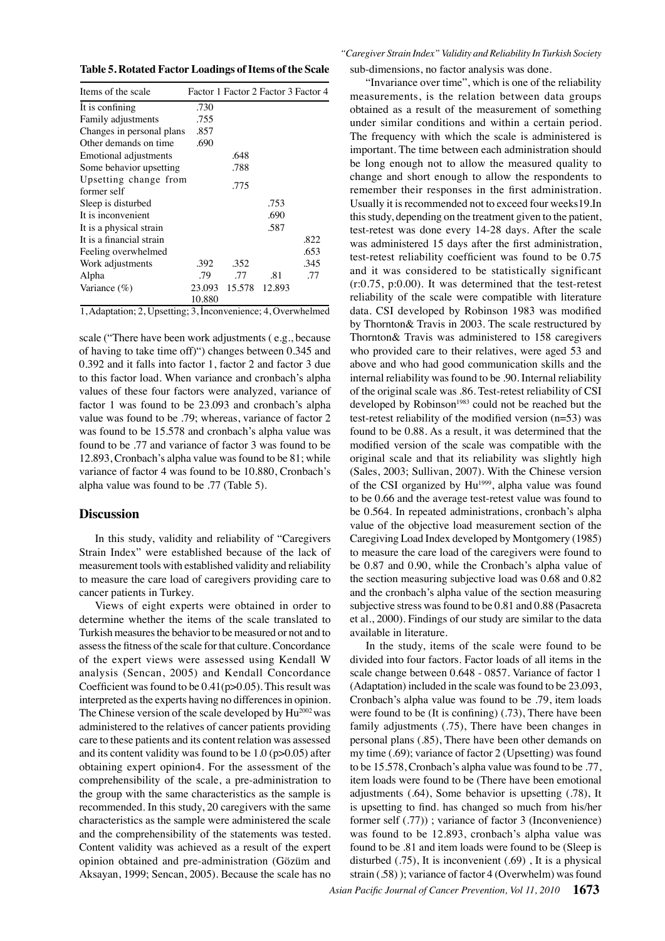**Table 5. Rotated Factor Loadings of Items of the Scale**

| Items of the scale                   |        |        |        | Factor 1 Factor 2 Factor 3 Factor 4 |
|--------------------------------------|--------|--------|--------|-------------------------------------|
| It is confining                      | .730   |        |        |                                     |
| Family adjustments                   | .755   |        |        |                                     |
| Changes in personal plans            | .857   |        |        |                                     |
| Other demands on time                | .690   |        |        |                                     |
| Emotional adjustments                |        | .648   |        |                                     |
| Some behavior upsetting              |        | .788   |        |                                     |
| Upsetting change from<br>former self |        | .775   |        |                                     |
| Sleep is disturbed                   |        |        | .753   |                                     |
| It is inconvenient                   |        |        | .690   |                                     |
| It is a physical strain              |        |        | .587   |                                     |
| It is a financial strain             |        |        |        | .822                                |
| Feeling overwhelmed                  |        |        |        | .653                                |
| Work adjustments                     | .392   | .352   |        | .345                                |
| Alpha                                | .79    | .77    | .81    | .77                                 |
| Variance $(\% )$                     | 23.093 | 15.578 | 12.893 |                                     |
|                                      | 10.880 |        |        |                                     |

1, Adaptation; 2, Upsetting; 3, İnconvenience; 4, Overwhelmed

scale ("There have been work adjustments ( e.g., because of having to take time off)") changes between 0.345 and 0.392 and it falls into factor 1, factor 2 and factor 3 due to this factor load. When variance and cronbach's alpha values of these four factors were analyzed, variance of factor 1 was found to be 23.093 and cronbach's alpha value was found to be .79; whereas, variance of factor 2 was found to be 15.578 and cronbach's alpha value was found to be .77 and variance of factor 3 was found to be 12.893, Cronbach's alpha value was found to be 81; while variance of factor 4 was found to be 10.880, Cronbach's alpha value was found to be .77 (Table 5).

## **Discussion**

In this study, validity and reliability of "Caregivers Strain Index" were established because of the lack of measurement tools with established validity and reliability to measure the care load of caregivers providing care to cancer patients in Turkey.

Views of eight experts were obtained in order to determine whether the items of the scale translated to Turkish measures the behavior to be measured or not and to assess the fitness of the scale for that culture. Concordance of the expert views were assessed using Kendall W analysis (Sencan, 2005) and Kendall Concordance Coefficient was found to be  $0.41(p>0.05)$ . This result was interpreted as the experts having no differences in opinion. The Chinese version of the scale developed by  $Hu^{2002}$  was administered to the relatives of cancer patients providing care to these patients and its content relation was assessed and its content validity was found to be 1.0 (p>0.05) after obtaining expert opinion4. For the assessment of the comprehensibility of the scale, a pre-administration to the group with the same characteristics as the sample is recommended. In this study, 20 caregivers with the same characteristics as the sample were administered the scale and the comprehensibility of the statements was tested. Content validity was achieved as a result of the expert opinion obtained and pre-administration (Gözüm and Aksayan, 1999; Sencan, 2005). Because the scale has no

*"Caregiver Strain Index" Validity and Reliability In Turkish Society* sub-dimensions, no factor analysis was done.

"Invariance over time", which is one of the reliability measurements, is the relation between data groups obtained as a result of the measurement of something under similar conditions and within a certain period. The frequency with which the scale is administered is important. The time between each administration should be long enough not to allow the measured quality to change and short enough to allow the respondents to remember their responses in the first administration. Usually it is recommended not to exceed four weeks19.In this study, depending on the treatment given to the patient, test-retest was done every 14-28 days. After the scale was administered 15 days after the first administration, test-retest reliability coefficient was found to be 0.75 and it was considered to be statistically significant (r:0.75, p:0.00). It was determined that the test-retest reliability of the scale were compatible with literature data. CSI developed by Robinson 1983 was modified by Thornton& Travis in 2003. The scale restructured by Thornton& Travis was administered to 158 caregivers who provided care to their relatives, were aged 53 and above and who had good communication skills and the internal reliability was found to be .90. Internal reliability of the original scale was .86. Test-retest reliability of CSI developed by Robinson<sup>1983</sup> could not be reached but the test-retest reliability of the modified version (n=53) was found to be 0.88. As a result, it was determined that the modified version of the scale was compatible with the original scale and that its reliability was slightly high (Sales, 2003; Sullivan, 2007). With the Chinese version of the CSI organized by Hu<sup>1999</sup>, alpha value was found to be 0.66 and the average test-retest value was found to be 0.564. In repeated administrations, cronbach's alpha value of the objective load measurement section of the Caregiving Load Index developed by Montgomery (1985) to measure the care load of the caregivers were found to be 0.87 and 0.90, while the Cronbach's alpha value of the section measuring subjective load was 0.68 and 0.82 and the cronbach's alpha value of the section measuring subjective stress was found to be 0.81 and 0.88 (Pasacreta et al., 2000). Findings of our study are similar to the data available in literature.

In the study, items of the scale were found to be divided into four factors. Factor loads of all items in the scale change between 0.648 - 0857. Variance of factor 1 (Adaptation) included in the scale was found to be 23.093, Cronbach's alpha value was found to be .79, item loads were found to be (It is confining) (.73), There have been family adjustments (.75), There have been changes in personal plans (.85), There have been other demands on my time (.69); variance of factor 2 (Upsetting) was found to be 15.578, Cronbach's alpha value was found to be .77, item loads were found to be (There have been emotional adjustments (.64), Some behavior is upsetting (.78), It is upsetting to find. has changed so much from his/her former self (.77)) ; variance of factor 3 (Inconvenience) was found to be 12.893, cronbach's alpha value was found to be .81 and item loads were found to be (Sleep is disturbed (.75), It is inconvenient (.69) , It is a physical strain (.58) ); variance of factor 4 (Overwhelm) was found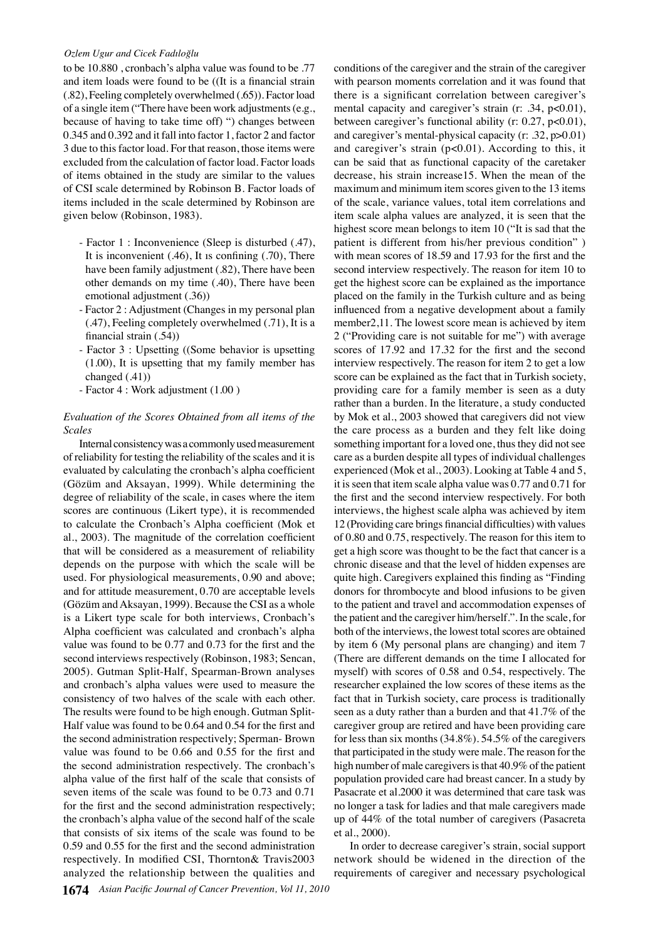## *Ozlem Ugur and Cicek Fadıloğlu*

to be 10.880 , cronbach's alpha value was found to be .77 and item loads were found to be ((It is a financial strain (.82), Feeling completely overwhelmed (.65)). Factor load of a single item ("There have been work adjustments (e.g., because of having to take time off) ") changes between 0.345 and 0.392 and it fall into factor 1, factor 2 and factor 3 due to this factor load. For that reason, those items were excluded from the calculation of factor load. Factor loads of items obtained in the study are similar to the values of CSI scale determined by Robinson B. Factor loads of items included in the scale determined by Robinson are given below (Robinson, 1983).

- Factor 1 : Inconvenience (Sleep is disturbed (.47), It is inconvenient (.46), It ıs confining (.70), There have been family adjustment (.82), There have been other demands on my time (.40), There have been emotional adjustment (.36))
- Factor 2 : Adjustment (Changes in my personal plan (.47), Feeling completely overwhelmed (.71), It is a financial strain (.54))
- Factor 3 : Upsetting ((Some behavior is upsetting (1.00), It is upsetting that my family member has changed (.41))
- Factor 4 : Work adjustment (1.00 )

## *Evaluation of the Scores Obtained from all items of the Scales*

Internal consistency was a commonly used measurement of reliability for testing the reliability of the scales and it is evaluated by calculating the cronbach's alpha coefficient (Gözüm and Aksayan, 1999). While determining the degree of reliability of the scale, in cases where the item scores are continuous (Likert type), it is recommended to calculate the Cronbach's Alpha coefficient (Mok et al., 2003). The magnitude of the correlation coefficient that will be considered as a measurement of reliability depends on the purpose with which the scale will be used. For physiological measurements, 0.90 and above; and for attitude measurement, 0.70 are acceptable levels (Gözüm and Aksayan, 1999). Because the CSI as a whole is a Likert type scale for both interviews, Cronbach's Alpha coefficient was calculated and cronbach's alpha value was found to be 0.77 and 0.73 for the first and the second interviews respectively (Robinson, 1983; Sencan, 2005). Gutman Split-Half, Spearman-Brown analyses and cronbach's alpha values were used to measure the consistency of two halves of the scale with each other. The results were found to be high enough. Gutman Split-Half value was found to be 0.64 and 0.54 for the first and the second administration respectively; Sperman- Brown value was found to be 0.66 and 0.55 for the first and the second administration respectively. The cronbach's alpha value of the first half of the scale that consists of seven items of the scale was found to be 0.73 and 0.71 for the first and the second administration respectively; the cronbach's alpha value of the second half of the scale that consists of six items of the scale was found to be 0.59 and 0.55 for the first and the second administration respectively. In modified CSI, Thornton& Travis2003 analyzed the relationship between the qualities and

conditions of the caregiver and the strain of the caregiver with pearson moments correlation and it was found that there is a significant correlation between caregiver's mental capacity and caregiver's strain (r: .34, p<0.01), between caregiver's functional ability (r: 0.27, p<0.01), and caregiver's mental-physical capacity (r: .32, p>0.01) and caregiver's strain  $(p<0.01)$ . According to this, it can be said that as functional capacity of the caretaker decrease, his strain increase15. When the mean of the maximum and minimum item scores given to the 13 items of the scale, variance values, total item correlations and item scale alpha values are analyzed, it is seen that the highest score mean belongs to item 10 ("It is sad that the patient is different from his/her previous condition" ) with mean scores of 18.59 and 17.93 for the first and the second interview respectively. The reason for item 10 to get the highest score can be explained as the importance placed on the family in the Turkish culture and as being influenced from a negative development about a family member2,11. The lowest score mean is achieved by item 2 ("Providing care is not suitable for me") with average scores of 17.92 and 17.32 for the first and the second interview respectively. The reason for item 2 to get a low score can be explained as the fact that in Turkish society, providing care for a family member is seen as a duty rather than a burden. In the literature, a study conducted by Mok et al., 2003 showed that caregivers did not view the care process as a burden and they felt like doing something important for a loved one, thus they did not see care as a burden despite all types of individual challenges experienced (Mok et al., 2003). Looking at Table 4 and 5, it is seen that item scale alpha value was 0.77 and 0.71 for the first and the second interview respectively. For both interviews, the highest scale alpha was achieved by item 12 (Providing care brings financial difficulties) with values of 0.80 and 0.75, respectively. The reason for this item to get a high score was thought to be the fact that cancer is a chronic disease and that the level of hidden expenses are quite high. Caregivers explained this finding as "Finding donors for thrombocyte and blood infusions to be given to the patient and travel and accommodation expenses of the patient and the caregiver him/herself.". In the scale, for both of the interviews, the lowest total scores are obtained by item 6 (My personal plans are changing) and item 7 (There are different demands on the time I allocated for myself) with scores of 0.58 and 0.54, respectively. The researcher explained the low scores of these items as the fact that in Turkish society, care process is traditionally seen as a duty rather than a burden and that 41.7% of the caregiver group are retired and have been providing care for less than six months (34.8%). 54.5% of the caregivers that participated in the study were male. The reason for the high number of male caregivers is that 40.9% of the patient population provided care had breast cancer. In a study by Pasacrate et al.2000 it was determined that care task was no longer a task for ladies and that male caregivers made up of 44% of the total number of caregivers (Pasacreta et al., 2000).

In order to decrease caregiver's strain, social support network should be widened in the direction of the requirements of caregiver and necessary psychological